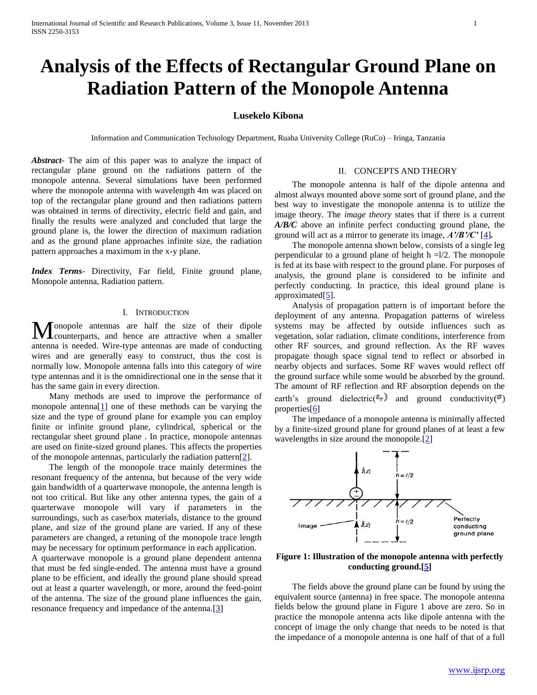# **Analysis of the Effects of Rectangular Ground Plane on Radiation Pattern of the Monopole Antenna**

# **Lusekelo Kibona**

Information and Communication Technology Department, Ruaha University College (RuCo) – Iringa, Tanzania

*Abstract***-** The aim of this paper was to analyze the impact of rectangular plane ground on the radiations pattern of the monopole antenna. Several simulations have been performed where the monopole antenna with wavelength 4m was placed on top of the rectangular plane ground and then radiations pattern was obtained in terms of directivity, electric field and gain, and finally the results were analyzed and concluded that large the ground plane is, the lower the direction of maximum radiation and as the ground plane approaches infinite size, the radiation pattern approaches a maximum in the x-y plane.

*Index Terms*- Directivity, Far field, Finite ground plane, Monopole antenna, Radiation pattern.

# I. INTRODUCTION

onopole antennas are half the size of their dipole Monopole antennas are half the size of their dipole<br>counterparts, and hence are attractive when a smaller antenna is needed. Wire-type antennas are made of conducting wires and are generally easy to construct, thus the cost is normally low. Monopole antenna falls into this category of wire type antennas and it is the omnidirectional one in the sense that it has the same gain in every direction.

 Many methods are used to improve the performance of monopole antenna[1] one of these methods can be varying the size and the type of ground plane for example you can employ finite or infinite ground plane, cylindrical, spherical or the rectangular sheet ground plane . In practice, monopole antennas are used on finite-sized ground planes. This affects the properties of the monopole antennas, particularly the radiation pattern[2].

 The length of the monopole trace mainly determines the resonant frequency of the antenna, but because of the very wide gain bandwidth of a quarterwave monopole, the antenna length is not too critical. But like any other antenna types, the gain of a quarterwave monopole will vary if parameters in the surroundings, such as case/box materials, distance to the ground plane, and size of the ground plane are varied. If any of these parameters are changed, a retuning of the monopole trace length may be necessary for optimum performance in each application. A quarterwave monopole is a ground plane dependent antenna that must be fed single-ended. The antenna must have a ground plane to be efficient, and ideally the ground plane should spread out at least a quarter wavelength, or more, around the feed-point of the antenna. The size of the ground plane influences the gain,

resonance frequency and impedance of the antenna.[3]

II. CONCEPTS AND THEORY

 The monopole antenna is half of the dipole antenna and almost always mounted above some sort of ground plane, and the best way to investigate the monopole antenna is to utilize the image theory. The *image theory* states that if there is a current *A/B/C* above an infinite perfect conducting ground plane, the ground will act as a mirror to generate its image, *A'/B'/C'* [4]*.*

 The monopole antenna shown below, consists of a single leg perpendicular to a ground plane of height  $h = 1/2$ . The monopole is fed at its base with respect to the ground plane. For purposes of analysis, the ground plane is considered to be infinite and perfectly conducting. In practice, this ideal ground plane is approximated[5].

 Analysis of propagation pattern is of important before the deployment of any antenna. Propagation patterns of wireless systems may be affected by outside influences such as vegetation, solar radiation, climate conditions, interference from other RF sources, and ground reflection. As the RF waves propagate though space signal tend to reflect or absorbed in nearby objects and surfaces. Some RF waves would reflect off the ground surface while some would be absorbed by the ground. The amount of RF reflection and RF absorption depends on the earth's ground dielectric( $\epsilon_r$ ) and ground conductivity( $\sigma$ ) properties[6]

 The impedance of a monopole antenna is minimally affected by a finite-sized ground plane for ground planes of at least a few wavelengths in size around the monopole.[2]



**Figure 1: Illustration of the monopole antenna with perfectly conducting ground.[5]**

 The fields above the ground plane can be found by using the equivalent source (antenna) in free space. The monopole antenna fields below the ground plane in Figure 1 above are zero. So in practice the monopole antenna acts like dipole antenna with the concept of image the only change that needs to be noted is that the impedance of a monopole antenna is one half of that of a full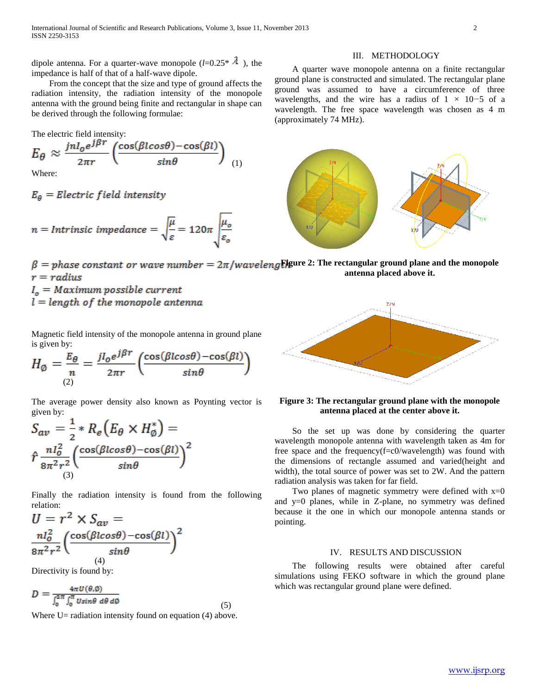dipole antenna. For a quarter-wave monopole  $(l=0.25^*$   $\lambda$ ), the impedance is half of that of a half-wave dipole.

 From the concept that the size and type of ground affects the radiation intensity, the radiation intensity of the monopole antenna with the ground being finite and rectangular in shape can be derived through the following formulae:

The electric field intensity:  
\n
$$
E_{\theta} \approx \frac{jnl_{o}e^{j\beta r}}{2\pi r} \left( \frac{\cos(\beta l cos \theta) - \cos(\beta l)}{sin \theta} \right)
$$
\n(1)

Where:

$$
E_{\theta}
$$
 = Electric field intensity

$$
n = Inttrinsic impedance = \sqrt{\frac{\mu}{\varepsilon}} = 120\pi \sqrt{\frac{\mu_o}{\varepsilon_o}}
$$

 $\beta =$  phase constant or wave number =  $2\pi$ /waveleng**Figure 2:** The rectangular ground plane and the monopole **antenna placed above it.**  $r = radius$ 

(approximately 74 MHz).

 $I<sub>o</sub> = Maximum possible current$  $l = length of the monopole antenna$ 

Magnetic field intensity of the monopole antenna in ground plane is given by:

$$
H_{\emptyset} = \frac{E_{\theta}}{n} = \frac{jI_{o}e^{j\beta r}}{2\pi r} \left( \frac{\cos(\beta l cos \theta) - \cos(\beta l)}{sin \theta} \right)
$$

The average power density also known as Poynting vector is given by:

$$
S_{av} = \frac{1}{2} * R_e (E_{\theta} \times H_{\phi}^*) =
$$
  

$$
\hat{r} \frac{n l_o^2}{8 \pi^2 r^2} \left( \frac{\cos(\beta l \cos \theta) - \cos(\beta l)}{\sin \theta} \right)^2
$$

Finally the radiation intensity is found from the following relation:

$$
U = r^2 \times S_{av} =
$$

$$
\frac{n l_o^2}{8\pi^2 r^2} \left( \frac{\cos(\beta l \cos \theta) - \cos(\beta l)}{\sin \theta} \right)^2
$$

Directivity is found by:

$$
D = \frac{4\pi U(\theta, \phi)}{\int_0^{2\pi} \int_0^{\pi} U \sin\theta \, d\theta \, d\phi} \tag{5}
$$

Where  $U=$  radiation intensity found on equation (4) above.

III. METHODOLOGY A quarter wave monopole antenna on a finite rectangular ground plane is constructed and simulated. The rectangular plane ground was assumed to have a circumference of three wavelengths, and the wire has a radius of 1 *×* 10*−*5 of a wavelength. The free space wavelength was chosen as 4 m



# **Figure 3: The rectangular ground plane with the monopole antenna placed at the center above it.**

 So the set up was done by considering the quarter wavelength monopole antenna with wavelength taken as 4m for free space and the frequency(f=c0/wavelength) was found with the dimensions of rectangle assumed and varied(height and width), the total source of power was set to 2W. And the pattern radiation analysis was taken for far field.

Two planes of magnetic symmetry were defined with  $x=0$ and y=0 planes, while in Z-plane, no symmetry was defined because it the one in which our monopole antenna stands or pointing.

# IV. RESULTS AND DISCUSSION

 The following results were obtained after careful simulations using FEKO software in which the ground plane which was rectangular ground plane were defined.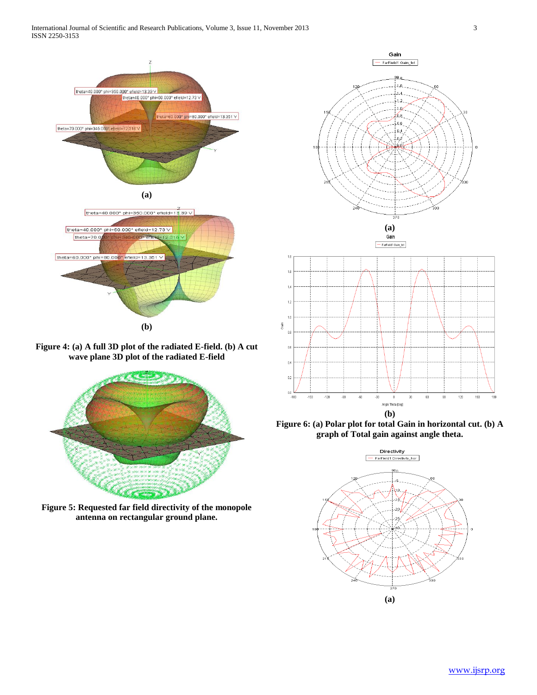

**Figure 4: (a) A full 3D plot of the radiated E-field. (b) A cut wave plane 3D plot of the radiated E-field**



**Figure 5: Requested far field directivity of the monopole antenna on rectangular ground plane.**



 $18$  $\overline{1}$  $11$ 

 $\frac{6}{3}$